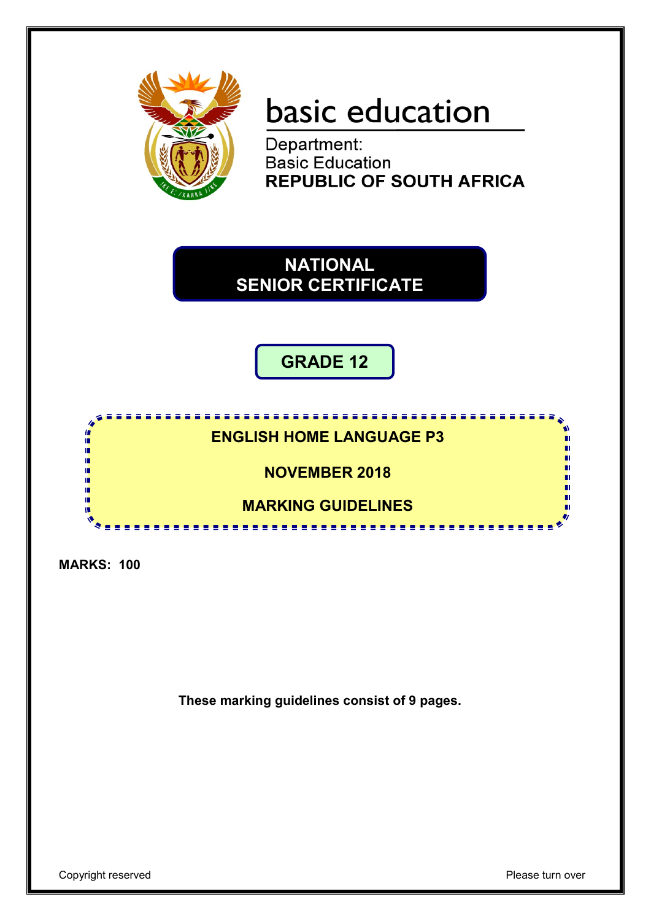

# basic education

Department: **Basic Education<br>REPUBLIC OF SOUTH AFRICA** 

**NATIONAL SENIOR CERTIFICATE**

**GRADE 12**

# **ENGLISH HOME LANGUAGE P3**

**NOVEMBER 2018**

# **MARKING GUIDELINES**

----------------

**MARKS: 100**

I. ú íĖ, т

**These marking guidelines consist of 9 pages.**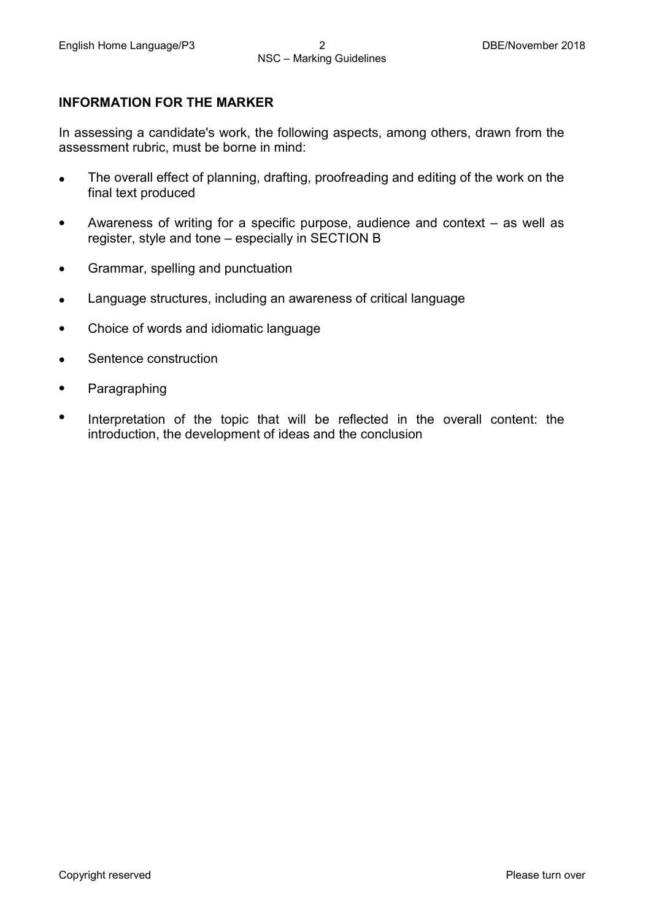#### **INFORMATION FOR THE MARKER**

In assessing a candidate's work, the following aspects, among others, drawn from the assessment rubric, must be borne in mind:

- The overall effect of planning, drafting, proofreading and editing of the work on the final text produced
- Awareness of writing for a specific purpose, audience and context – as well as register, style and tone – especially in SECTION B
- Grammar, spelling and punctuation
- Language structures, including an awareness of critical language
- Choice of words and idiomatic language
- Sentence construction
- Paragraphing
- Interpretation of the topic that will be reflected in the overall content: the introduction, the development of ideas and the conclusion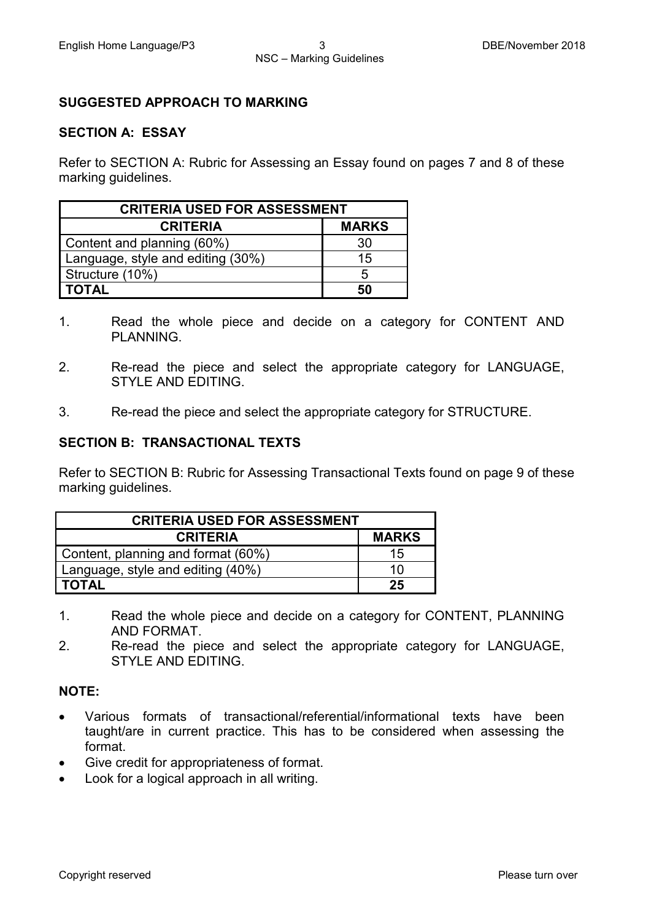#### **SUGGESTED APPROACH TO MARKING**

#### **SECTION A: ESSAY**

Refer to SECTION A: Rubric for Assessing an Essay found on pages 7 and 8 of these marking guidelines.

| <b>CRITERIA USED FOR ASSESSMENT</b> |              |  |  |  |
|-------------------------------------|--------------|--|--|--|
| <b>CRITERIA</b>                     | <b>MARKS</b> |  |  |  |
| Content and planning (60%)          | 30           |  |  |  |
| Language, style and editing (30%)   | 15           |  |  |  |
| Structure (10%)                     | 5            |  |  |  |
| I TOTAL                             | 50           |  |  |  |

- 1. Read the whole piece and decide on a category for CONTENT AND PLANNING.
- 2. Re-read the piece and select the appropriate category for LANGUAGE, STYLE AND EDITING.
- 3. Re-read the piece and select the appropriate category for STRUCTURE.

#### **SECTION B: TRANSACTIONAL TEXTS**

Refer to SECTION B: Rubric for Assessing Transactional Texts found on page 9 of these marking guidelines.

| <b>CRITERIA USED FOR ASSESSMENT</b> |              |
|-------------------------------------|--------------|
| <b>CRITERIA</b>                     | <b>MARKS</b> |
| Content, planning and format (60%)  | 15           |
| Language, style and editing (40%)   | 10           |
| <b>TOTAL</b>                        | 25           |

- 1. Read the whole piece and decide on a category for CONTENT, PLANNING AND FORMAT.
- 2. Re-read the piece and select the appropriate category for LANGUAGE, STYLE AND EDITING.

#### **NOTE:**

- Various formats of transactional/referential/informational texts have been taught/are in current practice. This has to be considered when assessing the format.
- Give credit for appropriateness of format.
- Look for a logical approach in all writing.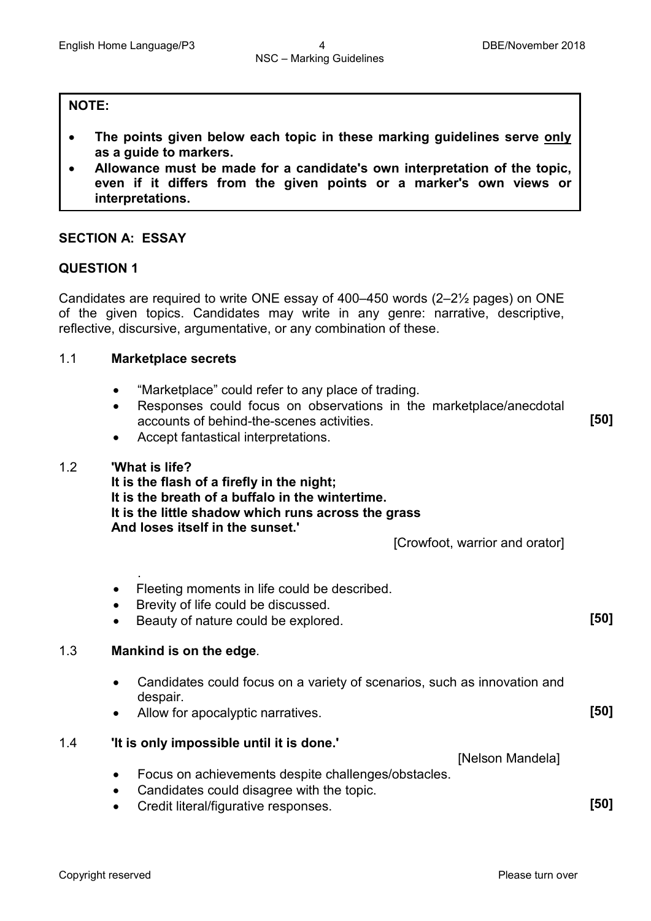**[50]**

#### **NOTE:**

- **The points given below each topic in these marking guidelines serve only as a guide to markers.**
- **Allowance must be made for a candidate's own interpretation of the topic, even if it differs from the given points or a marker's own views or interpretations.**

#### **SECTION A: ESSAY**

#### **QUESTION 1**

Candidates are required to write ONE essay of 400–450 words (2–2½ pages) on ONE of the given topics. Candidates may write in any genre: narrative, descriptive, reflective, discursive, argumentative, or any combination of these.

#### 1.1 **Marketplace secrets**

- "Marketplace" could refer to any place of trading.
- Responses could focus on observations in the marketplace/anecdotal accounts of behind-the-scenes activities.
- Accept fantastical interpretations.

#### 1.2 **'What is life?**

.

**It is the flash of a firefly in the night; It is the breath of a buffalo in the wintertime. It is the little shadow which runs across the grass And loses itself in the sunset.'**

[Crowfoot, warrior and orator]

- Fleeting moments in life could be described.
- Brevity of life could be discussed.
- Beauty of nature could be explored. **[50]**

#### 1.3 **Mankind is on the edge***.*

- Candidates could focus on a variety of scenarios, such as innovation and despair.
- Allow for apocalyptic narratives. **[50]**

#### 1.4 **'It is only impossible until it is done.'**

[Nelson Mandela] • Focus on achievements despite challenges/obstacles.

- Candidates could disagree with the topic.
- Credit literal/figurative responses. **[50]**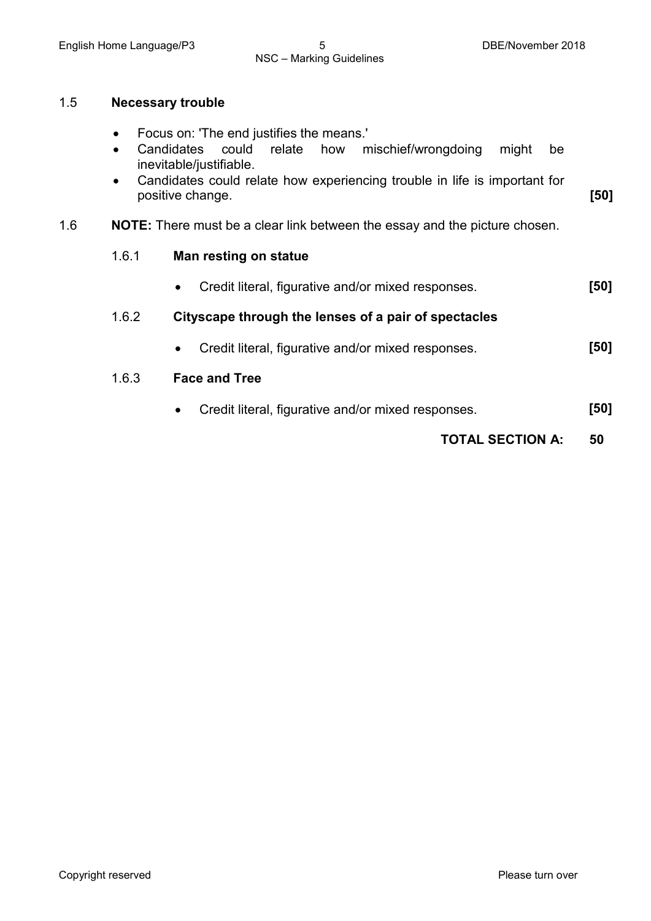# NSC – Marking Guidelines

#### 1.5 **Necessary trouble**

- Focus on: 'The end justifies the means.'
- Candidates could relate how mischief/wrongdoing might be inevitable/justifiable.
- Candidates could relate how experiencing trouble in life is important for positive change. **[50]**
- 1.6 **NOTE:** There must be a clear link between the essay and the picture chosen.

#### 1.6.1 **Man resting on statue**

- Credit literal, figurative and/or mixed responses. **[50]**
- 1.6.2 **Cityscape through the lenses of a pair of spectacles**
	- Credit literal, figurative and/or mixed responses. **[50]**

#### 1.6.3 **Face and Tree**

• Credit literal, figurative and/or mixed responses. **[50]**

### **TOTAL SECTION A: 50**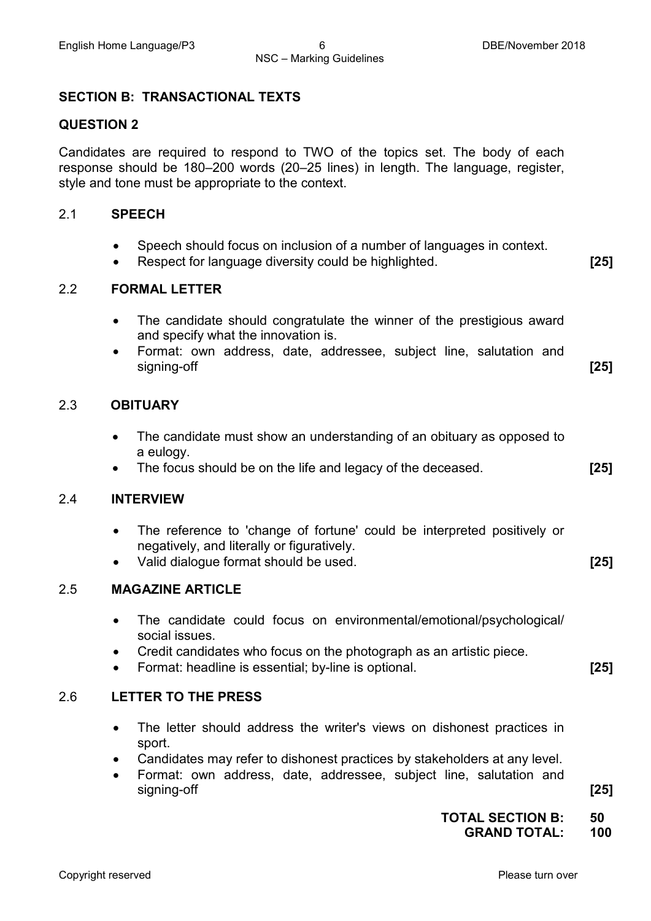# NSC – Marking Guidelines

#### **SECTION B: TRANSACTIONAL TEXTS**

#### **QUESTION 2**

Candidates are required to respond to TWO of the topics set. The body of each response should be 180–200 words (20–25 lines) in length. The language, register, style and tone must be appropriate to the context.

#### 2.1 **SPEECH**

- Speech should focus on inclusion of a number of languages in context.
- Respect for language diversity could be highlighted. **[25]**

#### 2.2 **FORMAL LETTER**

- The candidate should congratulate the winner of the prestigious award and specify what the innovation is.
- Format: own address, date, addressee, subject line, salutation and signing-off **[25]**

#### 2.3 **OBITUARY**

- The candidate must show an understanding of an obituary as opposed to a eulogy.
- The focus should be on the life and legacy of the deceased. **[25]**

#### 2.4 **INTERVIEW**

- The reference to 'change of fortune' could be interpreted positively or negatively, and literally or figuratively.
- Valid dialogue format should be used. **[25]**

#### 2.5 **MAGAZINE ARTICLE**

- The candidate could focus on environmental/emotional/psychological/ social issues.
- Credit candidates who focus on the photograph as an artistic piece.
- Format: headline is essential; by-line is optional. **[25]**

#### 2.6 **LETTER TO THE PRESS**

- The letter should address the writer's views on dishonest practices in sport.
- Candidates may refer to dishonest practices by stakeholders at any level.
- Format: own address, date, addressee, subject line, salutation and signing-off **[25]**

**TOTAL SECTION B: 50 GRAND TOTAL: 100**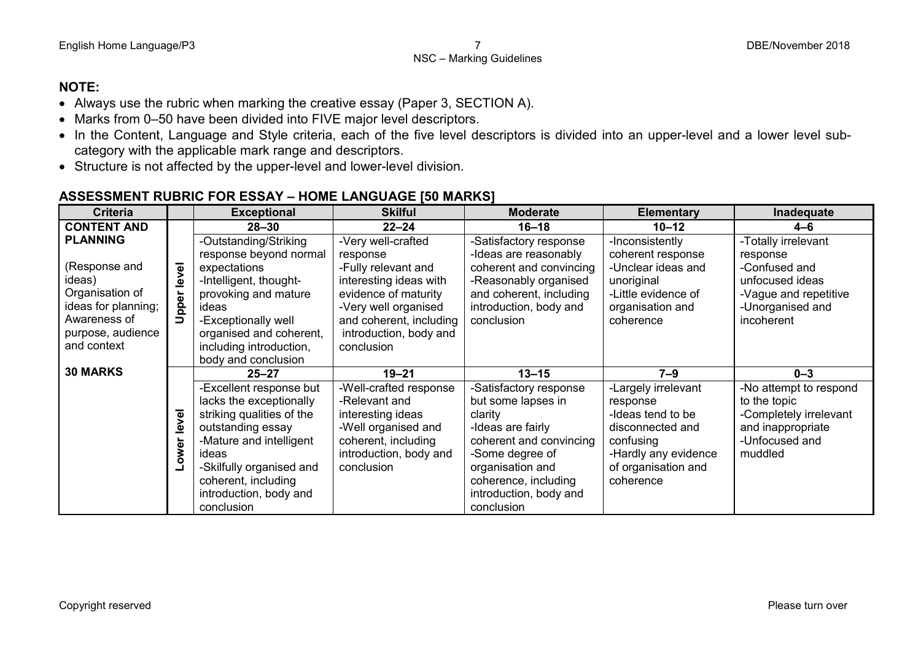## **NOTE:**

- Always use the rubric when marking the creative essay (Paper 3, SECTION A).
- Marks from 0–50 have been divided into FIVE major level descriptors.
- In the Content, Language and Style criteria, each of the five level descriptors is divided into an upper-level and a lower level subcategory with the applicable mark range and descriptors.
- Structure is not affected by the upper-level and lower-level division.

# **ASSESSMENT RUBRIC FOR ESSAY – HOME LANGUAGE [50 MARKS]**

| <b>Criteria</b>                                                   |               | <b>Exceptional</b>                                                                                                                                                                                                                  | <b>Skilful</b>                                                                                                                                     | <b>Moderate</b>                                                                                                                                                                                                | <b>Elementary</b>                                                                                                                                 | Inadequate                                                                                                         |
|-------------------------------------------------------------------|---------------|-------------------------------------------------------------------------------------------------------------------------------------------------------------------------------------------------------------------------------------|----------------------------------------------------------------------------------------------------------------------------------------------------|----------------------------------------------------------------------------------------------------------------------------------------------------------------------------------------------------------------|---------------------------------------------------------------------------------------------------------------------------------------------------|--------------------------------------------------------------------------------------------------------------------|
| <b>CONTENT AND</b>                                                |               | $28 - 30$                                                                                                                                                                                                                           | $22 - 24$                                                                                                                                          | $16 - 18$                                                                                                                                                                                                      | $10 - 12$                                                                                                                                         | 4–6                                                                                                                |
| <b>PLANNING</b>                                                   |               | -Outstanding/Striking                                                                                                                                                                                                               | -Very well-crafted                                                                                                                                 | -Satisfactory response                                                                                                                                                                                         | -Inconsistently                                                                                                                                   | -Totally irrelevant                                                                                                |
| (Response and<br>ideas)<br>Organisation of<br>ideas for planning; | level<br>pper | response beyond normal<br>expectations<br>-Intelligent, thought-<br>provoking and mature<br>ideas                                                                                                                                   | response<br>-Fully relevant and<br>interesting ideas with<br>evidence of maturity<br>-Very well organised                                          | -Ideas are reasonably<br>coherent and convincing<br>-Reasonably organised<br>and coherent, including<br>introduction, body and                                                                                 | coherent response<br>-Unclear ideas and<br>unoriginal<br>-Little evidence of<br>organisation and                                                  | response<br>-Confused and<br>unfocused ideas<br>-Vague and repetitive<br>-Unorganised and                          |
| Awareness of                                                      | ⊃             | -Exceptionally well                                                                                                                                                                                                                 | and coherent, including                                                                                                                            | conclusion                                                                                                                                                                                                     | coherence                                                                                                                                         | incoherent                                                                                                         |
| purpose, audience<br>and context                                  |               | organised and coherent,<br>including introduction,<br>body and conclusion                                                                                                                                                           | introduction, body and<br>conclusion                                                                                                               |                                                                                                                                                                                                                |                                                                                                                                                   |                                                                                                                    |
| <b>30 MARKS</b>                                                   |               | $25 - 27$                                                                                                                                                                                                                           | $19 - 21$                                                                                                                                          | $13 - 15$                                                                                                                                                                                                      | $7 - 9$                                                                                                                                           | $0 - 3$                                                                                                            |
|                                                                   | level<br>ower | -Excellent response but<br>lacks the exceptionally<br>striking qualities of the<br>outstanding essay<br>-Mature and intelligent<br>ideas<br>-Skilfully organised and<br>coherent, including<br>introduction, body and<br>conclusion | -Well-crafted response<br>-Relevant and<br>interesting ideas<br>-Well organised and<br>coherent, including<br>introduction, body and<br>conclusion | -Satisfactory response<br>but some lapses in<br>clarity<br>-Ideas are fairly<br>coherent and convincing<br>-Some degree of<br>organisation and<br>coherence, including<br>introduction, body and<br>conclusion | -Largely irrelevant<br>response<br>-Ideas tend to be<br>disconnected and<br>confusing<br>-Hardly any evidence<br>of organisation and<br>coherence | -No attempt to respond<br>to the topic<br>-Completely irrelevant<br>and inappropriate<br>-Unfocused and<br>muddled |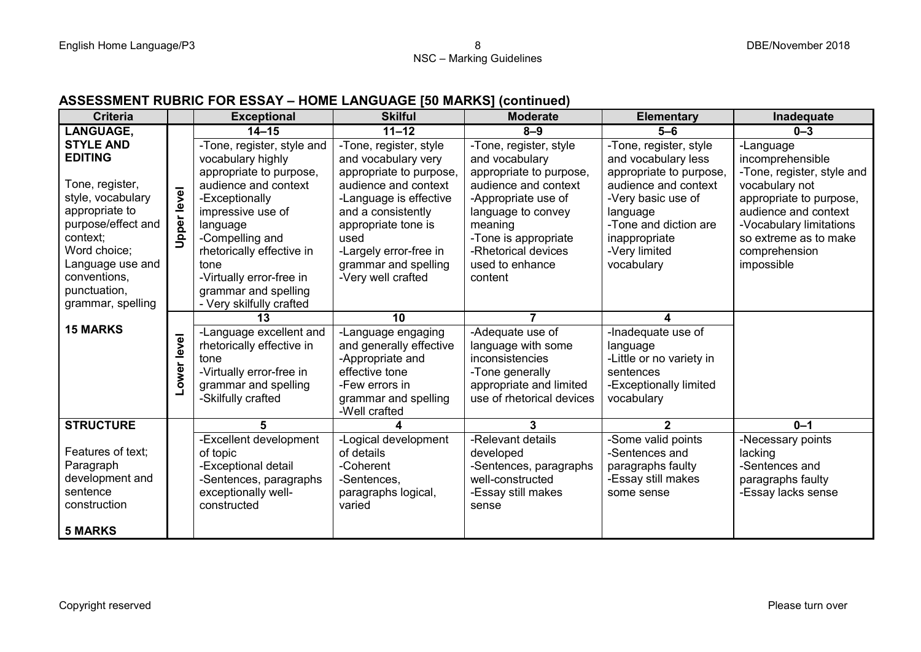## **ASSESSMENT RUBRIC FOR ESSAY – HOME LANGUAGE [50 MARKS] (continued)**

| <b>Criteria</b>    |             | <b>Exceptional</b>         | <b>Skilful</b>          | <b>Moderate</b>           | <b>Elementary</b>        | Inadequate                 |
|--------------------|-------------|----------------------------|-------------------------|---------------------------|--------------------------|----------------------------|
| <b>LANGUAGE,</b>   |             | $14 - 15$                  | $11 - 12$               | $8 - 9$                   | $5 - 6$                  | $0 - 3$                    |
| <b>STYLE AND</b>   |             | -Tone, register, style and | -Tone, register, style  | -Tone, register, style    | -Tone, register, style   | -Language                  |
| <b>EDITING</b>     |             | vocabulary highly          | and vocabulary very     | and vocabulary            | and vocabulary less      | incomprehensible           |
|                    |             | appropriate to purpose,    | appropriate to purpose, | appropriate to purpose,   | appropriate to purpose   | -Tone, register, style and |
| Tone, register,    |             | audience and context       | audience and context    | audience and context      | audience and context     | vocabulary not             |
| style, vocabulary  |             | -Exceptionally             | -Language is effective  | -Appropriate use of       | -Very basic use of       | appropriate to purpose,    |
| appropriate to     | Upper level | impressive use of          | and a consistently      | language to convey        | language                 | audience and context       |
| purpose/effect and |             | language                   | appropriate tone is     | meaning                   | -Tone and diction are    | -Vocabulary limitations    |
| context;           |             | -Compelling and            | used                    | -Tone is appropriate      | inappropriate            | so extreme as to make      |
| Word choice;       |             | rhetorically effective in  | -Largely error-free in  | -Rhetorical devices       | -Very limited            | comprehension              |
| Language use and   |             | tone                       | grammar and spelling    | used to enhance           | vocabulary               | impossible                 |
| conventions,       |             | -Virtually error-free in   | -Very well crafted      | content                   |                          |                            |
| punctuation,       |             | grammar and spelling       |                         |                           |                          |                            |
| grammar, spelling  |             | - Very skilfully crafted   |                         |                           |                          |                            |
|                    |             | 13                         | 10                      |                           |                          |                            |
| <b>15 MARKS</b>    |             | -Language excellent and    | -Language engaging      | -Adequate use of          | -Inadequate use of       |                            |
|                    |             | rhetorically effective in  | and generally effective | language with some        | language                 |                            |
|                    | ower level  | tone                       | -Appropriate and        | inconsistencies           | -Little or no variety in |                            |
|                    |             | -Virtually error-free in   | effective tone          | -Tone generally           | sentences                |                            |
|                    |             | grammar and spelling       | -Few errors in          | appropriate and limited   | -Exceptionally limited   |                            |
|                    |             | -Skilfully crafted         | grammar and spelling    | use of rhetorical devices | vocabulary               |                            |
|                    |             |                            | -Well crafted           |                           |                          |                            |
| <b>STRUCTURE</b>   |             |                            | 4                       | 3                         | $\mathbf{2}$             | $0 - 1$                    |
|                    |             | -Excellent development     | -Logical development    | -Relevant details         | -Some valid points       | -Necessary points          |
| Features of text:  |             | of topic                   | of details              | developed                 | -Sentences and           | lacking                    |
| Paragraph          |             | -Exceptional detail        | -Coherent               | -Sentences, paragraphs    | paragraphs faulty        | -Sentences and             |
| development and    |             | -Sentences, paragraphs     | -Sentences,             | well-constructed          | -Essay still makes       | paragraphs faulty          |
| sentence           |             | exceptionally well-        | paragraphs logical,     | -Essay still makes        | some sense               | -Essay lacks sense         |
| construction       |             | constructed                | varied                  | sense                     |                          |                            |
|                    |             |                            |                         |                           |                          |                            |
| <b>5 MARKS</b>     |             |                            |                         |                           |                          |                            |